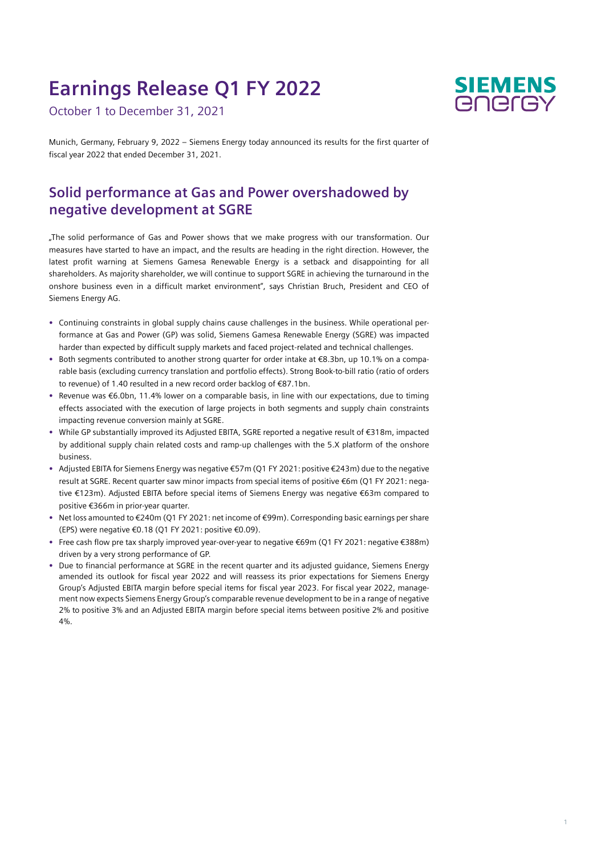# **Earnings Release Q1 FY 2022**

October 1 to December 31, 2021



Munich, Germany, February 9, 2022 – Siemens Energy today announced its results for the first quarter of fiscal year 2022 that ended December 31, 2021.

## **Solid performance at Gas and Power overshadowed by negative development at SGRE**

"The solid performance of Gas and Power shows that we make progress with our transformation. Our measures have started to have an impact, and the results are heading in the right direction. However, the latest profit warning at Siemens Gamesa Renewable Energy is a setback and disappointing for all shareholders. As majority shareholder, we will continue to support SGRE in achieving the turnaround in the onshore business even in a difficult market environment", says Christian Bruch, President and CEO of Siemens Energy AG.

- **•** Continuing constraints in global supply chains cause challenges in the business. While operational performance at Gas and Power (GP) was solid, Siemens Gamesa Renewable Energy (SGRE) was impacted harder than expected by difficult supply markets and faced project-related and technical challenges.
- **•** Both segments contributed to another strong quarter for order intake at €8.3bn, up 10.1% on a comparable basis (excluding currency translation and portfolio effects). Strong Book-to-bill ratio (ratio of orders to revenue) of 1.40 resulted in a new record order backlog of €87.1bn.
- **•** Revenue was €6.0bn, 11.4% lower on a comparable basis, in line with our expectations, due to timing effects associated with the execution of large projects in both segments and supply chain constraints impacting revenue conversion mainly at SGRE.
- **•** While GP substantially improved its Adjusted EBITA, SGRE reported a negative result of €318m, impacted by additional supply chain related costs and ramp-up challenges with the 5.X platform of the onshore business.
- **•** Adjusted EBITA for Siemens Energy was negative €57m (Q1 FY 2021: positive €243m) due to the negative result at SGRE. Recent quarter saw minor impacts from special items of positive €6m (Q1 FY 2021: negative €123m). Adjusted EBITA before special items of Siemens Energy was negative €63m compared to positive €366m in prior-year quarter.
- **•** Net loss amounted to €240m (Q1 FY 2021: net income of €99m). Corresponding basic earnings per share (EPS) were negative €0.18 (Q1 FY 2021: positive €0.09).
- **•** Free cash flow pre tax sharply improved year-over-year to negative €69m (Q1 FY 2021: negative €388m) driven by a very strong performance of GP.
- **•** Due to financial performance at SGRE in the recent quarter and its adjusted guidance, Siemens Energy amended its outlook for fiscal year 2022 and will reassess its prior expectations for Siemens Energy Group's Adjusted EBITA margin before special items for fiscal year 2023. For fiscal year 2022, management now expects Siemens Energy Group's comparable revenue development to be in a range of negative 2% to positive 3% and an Adjusted EBITA margin before special items between positive 2% and positive 4%.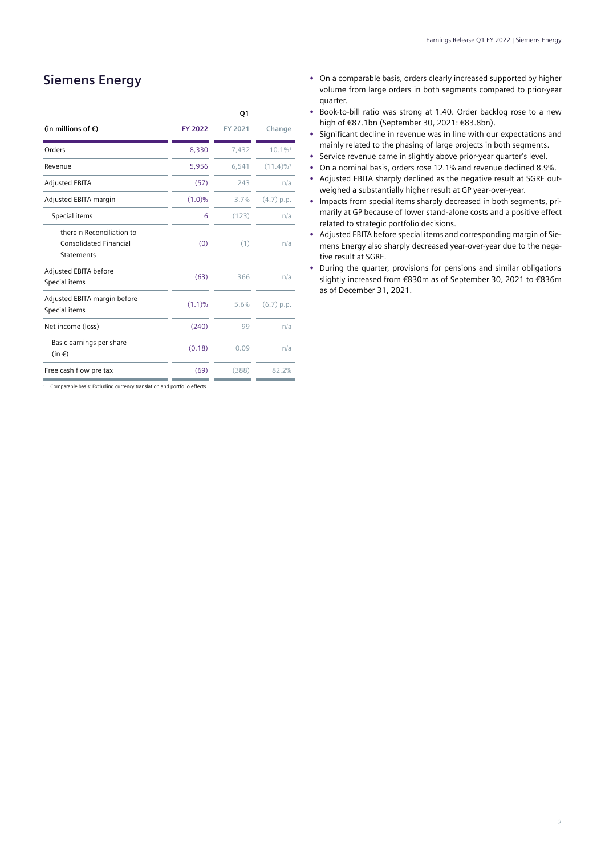## **Siemens Energy**

|                                                                                 |         | Q1      |                         |
|---------------------------------------------------------------------------------|---------|---------|-------------------------|
| (in millions of $\epsilon$ )                                                    | FY 2022 | FY 2021 | Change                  |
| Orders                                                                          | 8,330   | 7,432   | 10.1%1                  |
| Revenue                                                                         | 5,956   | 6,541   | $(11.4)\%$ <sup>1</sup> |
| <b>Adjusted EBITA</b>                                                           | (57)    | 243     | n/a                     |
| Adjusted EBITA margin                                                           | (1.0)%  | 3.7%    | $(4.7)$ p.p.            |
| Special items                                                                   | 6       | (123)   | n/a                     |
| therein Reconciliation to<br><b>Consolidated Financial</b><br><b>Statements</b> | (0)     | (1)     | n/a                     |
| Adjusted EBITA before<br>Special items                                          | (63)    | 366     | n/a                     |
| Adjusted EBITA margin before<br>Special items                                   | (1.1)%  | 5.6%    | $(6.7)$ p.p.            |
| Net income (loss)                                                               | (240)   | 99      | n/a                     |
| Basic earnings per share<br>$(in \in)$                                          | (0.18)  | 0.09    | n/a                     |
| Free cash flow pre tax                                                          | (69)    | (388)   | 82.2%                   |

<sup>1</sup> Comparable basis: Excluding currency translation and portfolio effects

- **•** On a comparable basis, orders clearly increased supported by higher volume from large orders in both segments compared to prior-year quarter.
- **•** Book-to-bill ratio was strong at 1.40. Order backlog rose to a new high of €87.1bn (September 30, 2021: €83.8bn).
- **•** Significant decline in revenue was in line with our expectations and mainly related to the phasing of large projects in both segments.
- **•** Service revenue came in slightly above prior-year quarter's level.
- **•** On a nominal basis, orders rose 12.1% and revenue declined 8.9%.
- **•** Adjusted EBITA sharply declined as the negative result at SGRE outweighed a substantially higher result at GP year-over-year.
- **•** Impacts from special items sharply decreased in both segments, primarily at GP because of lower stand-alone costs and a positive effect related to strategic portfolio decisions.
- **•** Adjusted EBITA before special items and corresponding margin of Siemens Energy also sharply decreased year-over-year due to the negative result at SGRE.
- **•** During the quarter, provisions for pensions and similar obligations slightly increased from €830m as of September 30, 2021 to €836m as of December 31, 2021.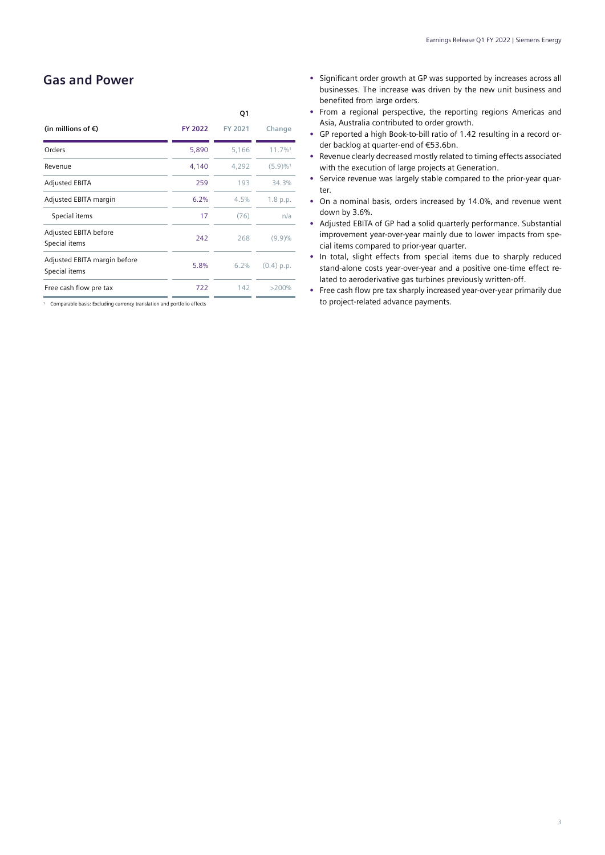### **Gas and Power**

|                                               |         | Q1      |                         |
|-----------------------------------------------|---------|---------|-------------------------|
| (in millions of $\epsilon$ )                  | FY 2022 | FY 2021 | Change                  |
| Orders                                        | 5,890   | 5,166   | 11.7%1                  |
| Revenue                                       | 4,140   | 4,292   | $(5.9) \%$ <sup>1</sup> |
| <b>Adjusted EBITA</b>                         | 259     | 193     | 34.3%                   |
| Adjusted EBITA margin                         | 6.2%    | 4.5%    | 1.8 p.p.                |
| Special items                                 | 17      | (76)    | n/a                     |
| Adjusted EBITA before<br>Special items        | 242     | 268     | $(9.9)\%$               |
| Adjusted EBITA margin before<br>Special items | 5.8%    | 6.2%    | (0.4) p.p.              |
| Free cash flow pre tax                        | 722     | 142     | >200%                   |
|                                               |         |         |                         |

<sup>1</sup> Comparable basis: Excluding currency translation and portfolio effects

- **•** Significant order growth at GP was supported by increases across all businesses. The increase was driven by the new unit business and benefited from large orders.
- **•** From a regional perspective, the reporting regions Americas and Asia, Australia contributed to order growth.
- **•** GP reported a high Book-to-bill ratio of 1.42 resulting in a record order backlog at quarter-end of €53.6bn.
- **•** Revenue clearly decreased mostly related to timing effects associated with the execution of large projects at Generation.
- **•** Service revenue was largely stable compared to the prior-year quarter.
- **•** On a nominal basis, orders increased by 14.0%, and revenue went down by 3.6%.
- **•** Adjusted EBITA of GP had a solid quarterly performance. Substantial improvement year-over-year mainly due to lower impacts from special items compared to prior-year quarter.
- **•** In total, slight effects from special items due to sharply reduced stand-alone costs year-over-year and a positive one-time effect related to aeroderivative gas turbines previously written-off.
- **•** Free cash flow pre tax sharply increased year-over-year primarily due to project-related advance payments.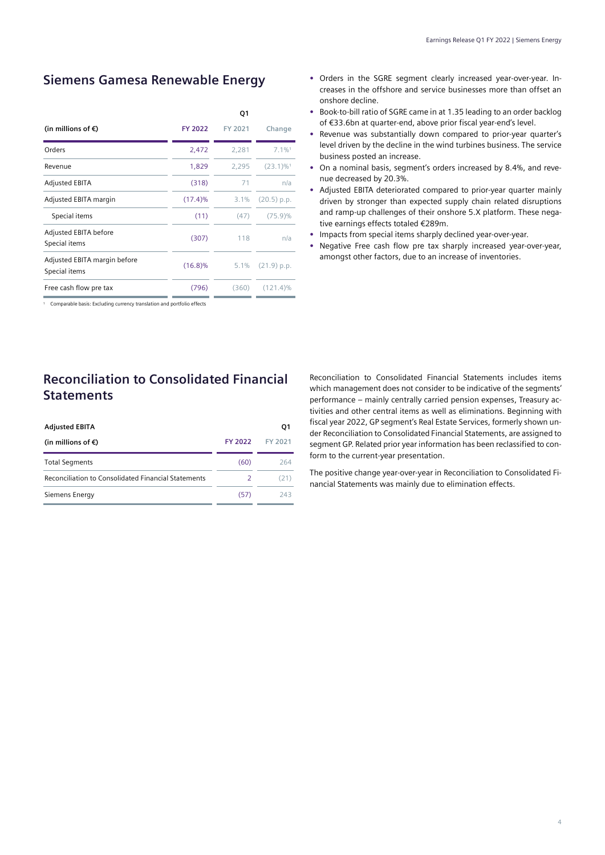#### **Siemens Gamesa Renewable Energy**

|                                               |            | Q1      |                         |
|-----------------------------------------------|------------|---------|-------------------------|
| (in millions of $\epsilon$ )                  | FY 2022    | FY 2021 | Change                  |
| Orders                                        | 2,472      | 2,281   | $7.1\%$ <sup>1</sup>    |
| Revenue                                       | 1,829      | 2.295   | $(23.1)\%$ <sup>1</sup> |
| <b>Adjusted EBITA</b>                         | (318)      | 71      | n/a                     |
| Adjusted EBITA margin                         | $(17.4)\%$ | 3.1%    | $(20.5)$ p.p.           |
| Special items                                 | (11)       | (47)    | $(75.9)\%$              |
| Adjusted EBITA before<br>Special items        | (307)      | 118     | n/a                     |
| Adjusted EBITA margin before<br>Special items | $(16.8)\%$ | $5.1\%$ | $(21.9)$ p.p.           |
| Free cash flow pre tax                        | (796)      | (360)   | $(121.4)\%$             |
|                                               |            |         |                         |

<sup>1</sup> Comparable basis: Excluding currency translation and portfolio effects

## **Reconciliation to Consolidated Financial Statements**

| <b>Adjusted EBITA</b>                                      |                | O1      |
|------------------------------------------------------------|----------------|---------|
| (in millions of $\epsilon$ )                               | <b>FY 2022</b> | FY 2021 |
| <b>Total Segments</b>                                      | (60)           | 264     |
| <b>Reconciliation to Consolidated Financial Statements</b> |                | (21)    |
| Siemens Energy                                             | (57)           | 243.    |

- **•** Orders in the SGRE segment clearly increased year-over-year. Increases in the offshore and service businesses more than offset an onshore decline.
- **•** Book-to-bill ratio of SGRE came in at 1.35 leading to an order backlog of €33.6bn at quarter-end, above prior fiscal year-end's level.
- **•** Revenue was substantially down compared to prior-year quarter's level driven by the decline in the wind turbines business. The service business posted an increase.
- **•** On a nominal basis, segment's orders increased by 8.4%, and revenue decreased by 20.3%.
- **•** Adjusted EBITA deteriorated compared to prior-year quarter mainly driven by stronger than expected supply chain related disruptions and ramp-up challenges of their onshore 5.X platform. These negative earnings effects totaled €289m.
- **•** Impacts from special items sharply declined year-over-year.
- **•** Negative Free cash flow pre tax sharply increased year-over-year, amongst other factors, due to an increase of inventories.

Reconciliation to Consolidated Financial Statements includes items which management does not consider to be indicative of the segments' performance – mainly centrally carried pension expenses, Treasury activities and other central items as well as eliminations. Beginning with fiscal year 2022, GP segment's Real Estate Services, formerly shown under Reconciliation to Consolidated Financial Statements, are assigned to segment GP. Related prior year information has been reclassified to conform to the current-year presentation.

The positive change year-over-year in Reconciliation to Consolidated Financial Statements was mainly due to elimination effects.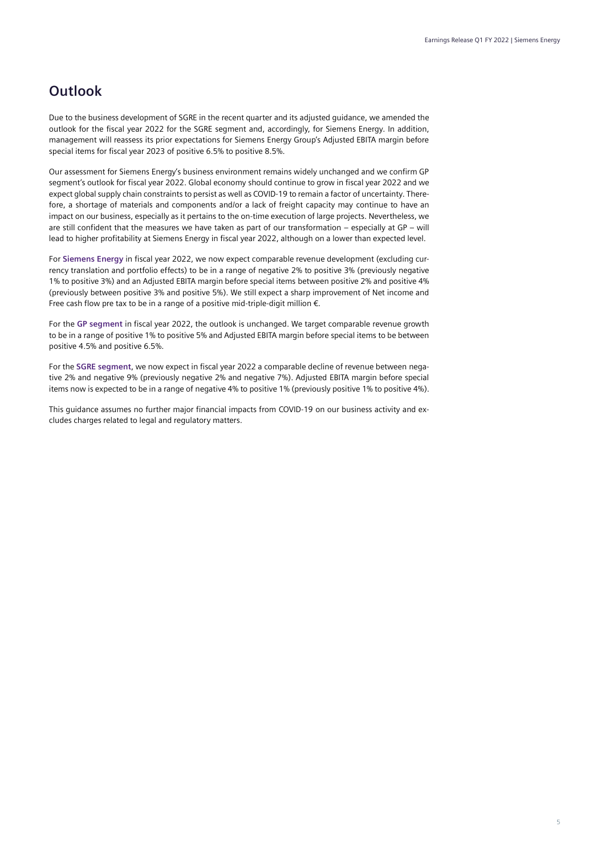## **Outlook**

Due to the business development of SGRE in the recent quarter and its adjusted guidance, we amended the outlook for the fiscal year 2022 for the SGRE segment and, accordingly, for Siemens Energy. In addition, management will reassess its prior expectations for Siemens Energy Group's Adjusted EBITA margin before special items for fiscal year 2023 of positive 6.5% to positive 8.5%.

Our assessment for Siemens Energy's business environment remains widely unchanged and we confirm GP segment's outlook for fiscal year 2022. Global economy should continue to grow in fiscal year 2022 and we expect global supply chain constraints to persist as well as COVID-19 to remain a factor of uncertainty. Therefore, a shortage of materials and components and/or a lack of freight capacity may continue to have an impact on our business, especially as it pertains to the on-time execution of large projects. Nevertheless, we are still confident that the measures we have taken as part of our transformation – especially at GP – will lead to higher profitability at Siemens Energy in fiscal year 2022, although on a lower than expected level.

For **Siemens Energy** in fiscal year 2022, we now expect comparable revenue development (excluding currency translation and portfolio effects) to be in a range of negative 2% to positive 3% (previously negative 1% to positive 3%) and an Adjusted EBITA margin before special items between positive 2% and positive 4% (previously between positive 3% and positive 5%). We still expect a sharp improvement of Net income and Free cash flow pre tax to be in a range of a positive mid-triple-digit million €.

For the **GP segment** in fiscal year 2022, the outlook is unchanged. We target comparable revenue growth to be in a range of positive 1% to positive 5% and Adjusted EBITA margin before special items to be between positive 4.5% and positive 6.5%.

For the **SGRE segment**, we now expect in fiscal year 2022 a comparable decline of revenue between negative 2% and negative 9% (previously negative 2% and negative 7%). Adjusted EBITA margin before special items now is expected to be in a range of negative 4% to positive 1% (previously positive 1% to positive 4%).

This guidance assumes no further major financial impacts from COVID-19 on our business activity and excludes charges related to legal and regulatory matters.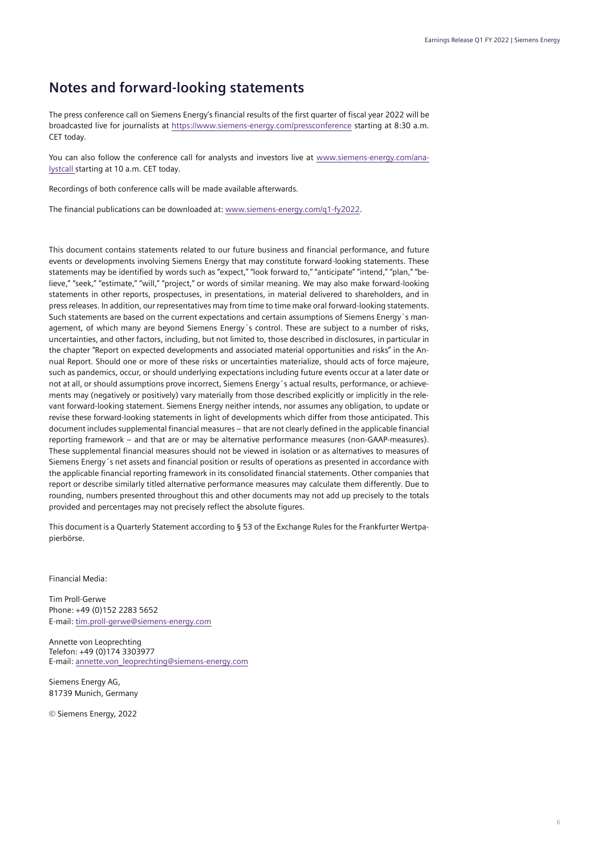## **Notes and forward-looking statements**

The press conference call on Siemens Energy's financial results of the first quarter of fiscal year 2022 will be broadcasted live for journalists at<https://www.siemens-energy.com/pressconference> starting at 8:30 a.m. CET today.

You can also follow the conference call for analysts and investors live at www.siemens-energy.com/analystcall starting at 10 a.m. CET today.

Recordings of both conference calls will be made available afterwards.

The financial publications can be downloaded at: www.siemens-energy.com/q1-fy2022.

This document contains statements related to our future business and financial performance, and future events or developments involving Siemens Energy that may constitute forward-looking statements. These statements may be identified by words such as "expect," "look forward to," "anticipate" "intend," "plan," "believe," "seek," "estimate," "will," "project," or words of similar meaning. We may also make forward-looking statements in other reports, prospectuses, in presentations, in material delivered to shareholders, and in press releases. In addition, our representatives may from time to time make oral forward-looking statements. Such statements are based on the current expectations and certain assumptions of Siemens Energy´s management, of which many are beyond Siemens Energy´s control. These are subject to a number of risks, uncertainties, and other factors, including, but not limited to, those described in disclosures, in particular in the chapter "Report on expected developments and associated material opportunities and risks" in the Annual Report. Should one or more of these risks or uncertainties materialize, should acts of force majeure, such as pandemics, occur, or should underlying expectations including future events occur at a later date or not at all, or should assumptions prove incorrect, Siemens Energy´s actual results, performance, or achievements may (negatively or positively) vary materially from those described explicitly or implicitly in the relevant forward-looking statement. Siemens Energy neither intends, nor assumes any obligation, to update or revise these forward-looking statements in light of developments which differ from those anticipated. This document includes supplemental financial measures – that are not clearly defined in the applicable financial reporting framework – and that are or may be alternative performance measures (non-GAAP-measures). These supplemental financial measures should not be viewed in isolation or as alternatives to measures of Siemens Energy´s net assets and financial position or results of operations as presented in accordance with the applicable financial reporting framework in its consolidated financial statements. Other companies that report or describe similarly titled alternative performance measures may calculate them differently. Due to rounding, numbers presented throughout this and other documents may not add up precisely to the totals provided and percentages may not precisely reflect the absolute figures.

This document is a Quarterly Statement according to § 53 of the Exchange Rules for the Frankfurter Wertpapierbörse.

Financial Media:

Tim Proll-Gerwe Phone: +49 (0)152 2283 5652 E-mail: tim.proll-gerwe@siemens-energy.com

Annette von Leoprechting Telefon: +49 (0)174 3303977 E-mail[: annette.von\\_leoprechting@siemens-energy.com](mailto:annette.von_leoprechting@siemens-energy.com)

Siemens Energy AG, 81739 Munich, Germany

© Siemens Energy, 2022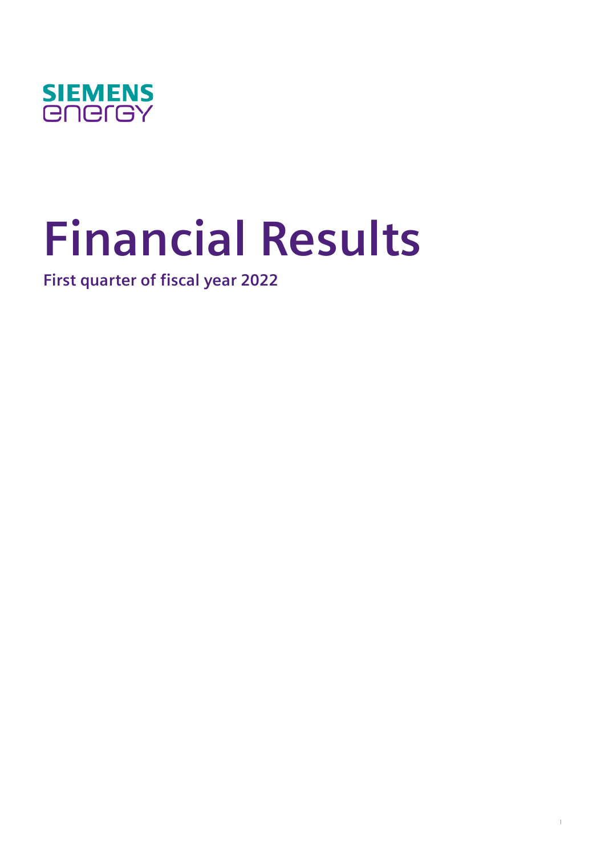

# **Financial Results**

**First quarter of fiscal year 2022**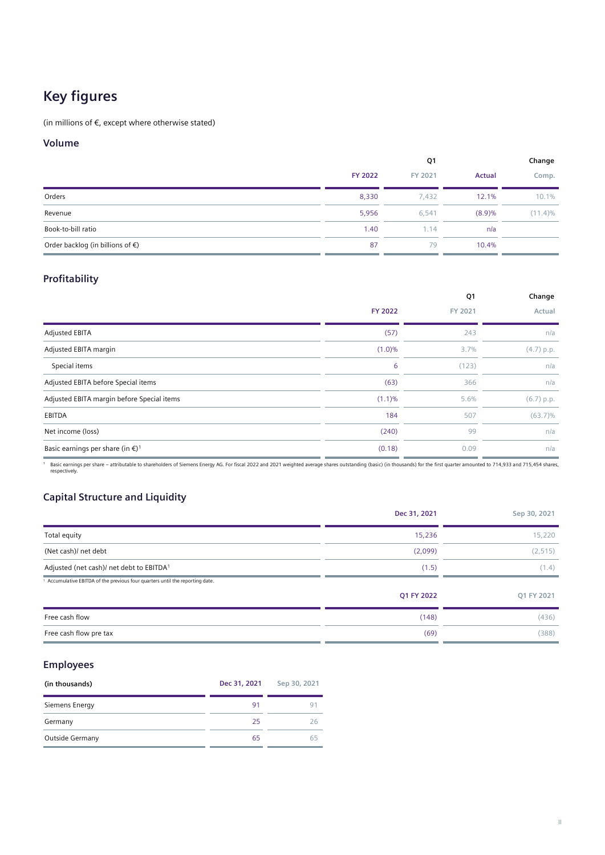## **Key figures**

(in millions of  $\epsilon$ , except where otherwise stated)

#### **Volume**

|                                            | Q1      |         |        | Change     |
|--------------------------------------------|---------|---------|--------|------------|
|                                            | FY 2022 | FY 2021 | Actual | Comp.      |
| Orders                                     | 8,330   | 7,432   | 12.1%  | 10.1%      |
| Revenue                                    | 5,956   | 6.541   | (8.9)% | $(11.4)\%$ |
| Book-to-bill ratio                         | 1.40    | 1.14    | n/a    |            |
| Order backlog (in billions of $\epsilon$ ) | 87      | 79      | 10.4%  |            |

#### **Profitability**

|                                                        |                | Q1      | Change     |
|--------------------------------------------------------|----------------|---------|------------|
|                                                        | <b>FY 2022</b> | FY 2021 | Actual     |
| <b>Adjusted EBITA</b>                                  | (57)           | 243     | n/a        |
| Adjusted EBITA margin                                  | $(1.0)\%$      | 3.7%    | (4.7) p.p. |
| Special items                                          | 6              | (123)   | n/a        |
| Adjusted EBITA before Special items                    | (63)           | 366     | n/a        |
| Adjusted EBITA margin before Special items             | (1.1)%         | 5.6%    | (6.7) p.p. |
| EBITDA                                                 | 184            | 507     | $(63.7)\%$ |
| Net income (loss)                                      | (240)          | 99      | n/a        |
| Basic earnings per share (in $\epsilon$ ) <sup>1</sup> | (0.18)         | 0.09    | n/a        |

Pasic earnings per share – attributable to shareholders of Siemens Energy AG. For fiscal 2022 and 2021 weighted average shares outstanding (basic) (in thousands) for the first quarter amounted to 714,933 and 715,454 shares

#### **Capital Structure and Liquidity**

|                                                                             | Dec 31, 2021 | Sep 30, 2021 |
|-----------------------------------------------------------------------------|--------------|--------------|
| Total equity                                                                | 15,236       | 15,220       |
| (Net cash)/ net debt                                                        | (2,099)      | (2, 515)     |
| Adjusted (net cash)/ net debt to EBITDA <sup>1</sup>                        | (1.5)        | (1.4)        |
| Accumulative EBITDA of the previous four quarters until the reporting date. |              |              |
|                                                                             | Q1 FY 2022   | Q1 FY 2021   |
| Free cash flow                                                              | (148)        | (436)        |
| Free cash flow pre tax                                                      | (69)         | (388)        |

#### **Employees**

| (in thousands)  | Dec 31, 2021 | Sep 30, 2021 |
|-----------------|--------------|--------------|
| Siemens Energy  | 91           |              |
| Germany         | -25          |              |
| Outside Germany | 65           | 65           |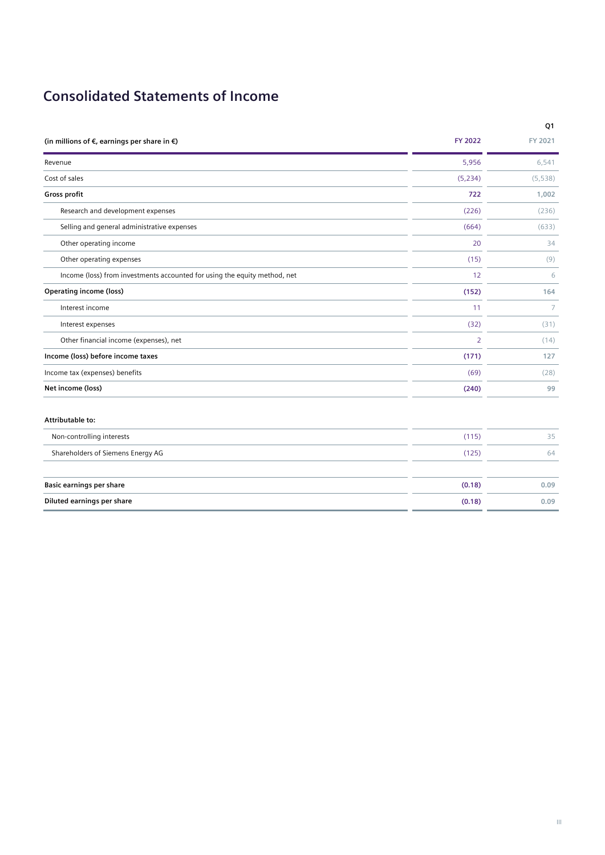## **Consolidated Statements of Income**

|                                                                           |                | Q1             |
|---------------------------------------------------------------------------|----------------|----------------|
| (in millions of $\epsilon$ , earnings per share in $\epsilon$ )           | <b>FY 2022</b> | FY 2021        |
| Revenue                                                                   | 5,956          | 6,541          |
| Cost of sales                                                             | (5,234)        | (5, 538)       |
| Gross profit                                                              | 722            | 1,002          |
| Research and development expenses                                         | (226)          | (236)          |
| Selling and general administrative expenses                               | (664)          | (633)          |
| Other operating income                                                    | 20             | 34             |
| Other operating expenses                                                  | (15)           | (9)            |
| Income (loss) from investments accounted for using the equity method, net | 12             | 6              |
| <b>Operating income (loss)</b>                                            | (152)          | 164            |
| Interest income                                                           | 11             | $\overline{7}$ |
| Interest expenses                                                         | (32)           | (31)           |
| Other financial income (expenses), net                                    | $\overline{2}$ | (14)           |
| Income (loss) before income taxes                                         | (171)          | 127            |
| Income tax (expenses) benefits                                            | (69)           | (28)           |
| Net income (loss)                                                         | (240)          | 99             |
| Attributable to:                                                          |                |                |
| Non-controlling interests                                                 | (115)          | 35             |
| Shareholders of Siemens Energy AG                                         | (125)          | 64             |
| <b>Basic earnings per share</b>                                           | (0.18)         | 0.09           |
| Diluted earnings per share                                                | (0.18)         | 0.09           |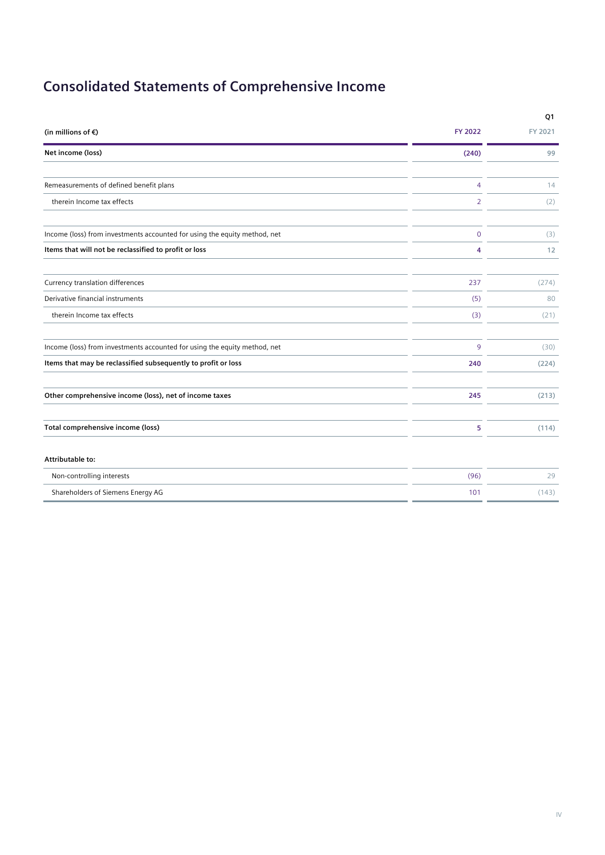# **Consolidated Statements of Comprehensive Income**

|                                                                                             | Q1      |
|---------------------------------------------------------------------------------------------|---------|
| (in millions of $\epsilon$ )<br><b>FY 2022</b>                                              | FY 2021 |
| Net income (loss)<br>(240)                                                                  | 99      |
|                                                                                             |         |
| Remeasurements of defined benefit plans<br>4                                                | 14      |
| therein Income tax effects<br>2                                                             | (2)     |
| Income (loss) from investments accounted for using the equity method, net<br>$\overline{0}$ | (3)     |
| Items that will not be reclassified to profit or loss<br>4                                  | 12      |
| Currency translation differences<br>237                                                     | (274)   |
| Derivative financial instruments<br>(5)                                                     | 80      |
| therein Income tax effects<br>(3)                                                           | (21)    |
| Income (loss) from investments accounted for using the equity method, net<br>9              | (30)    |
| Items that may be reclassified subsequently to profit or loss<br>240                        | (224)   |
| Other comprehensive income (loss), net of income taxes<br>245                               | (213)   |
|                                                                                             |         |
| Total comprehensive income (loss)<br>5                                                      | (114)   |
| Attributable to:                                                                            |         |
| Non-controlling interests<br>(96)                                                           | 29      |
| Shareholders of Siemens Energy AG<br>101                                                    | (143)   |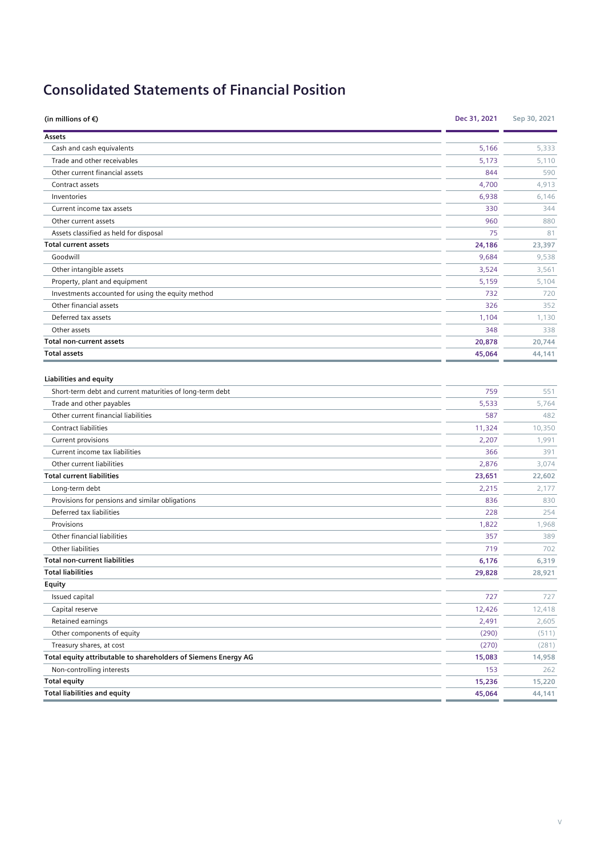# **Consolidated Statements of Financial Position**

| (in millions of $\epsilon$ )                                   | Dec 31, 2021 | Sep 30, 2021 |
|----------------------------------------------------------------|--------------|--------------|
| Assets                                                         |              |              |
| Cash and cash equivalents                                      | 5,166        | 5,333        |
| Trade and other receivables                                    | 5,173        | 5,110        |
| Other current financial assets                                 | 844          | 590          |
| Contract assets                                                | 4,700        | 4,913        |
| Inventories                                                    | 6,938        | 6,146        |
| Current income tax assets                                      | 330          | 344          |
| Other current assets                                           | 960          | 880          |
| Assets classified as held for disposal                         | 75           | 81           |
| <b>Total current assets</b>                                    | 24,186       | 23,397       |
| Goodwill                                                       | 9,684        | 9,538        |
| Other intangible assets                                        | 3,524        | 3,561        |
| Property, plant and equipment                                  | 5,159        | 5,104        |
| Investments accounted for using the equity method              | 732          | 720          |
| Other financial assets                                         | 326          | 352          |
| Deferred tax assets                                            | 1,104        | 1,130        |
| Other assets                                                   | 348          | 338          |
| <b>Total non-current assets</b>                                | 20,878       | 20,744       |
| <b>Total assets</b>                                            | 45,064       | 44,141       |
| <b>Liabilities and equity</b>                                  |              |              |
| Short-term debt and current maturities of long-term debt       | 759          | 551          |
| Trade and other payables                                       | 5,533        | 5,764        |
| Other current financial liabilities                            | 587          | 482          |
| Contract liabilities                                           | 11,324       | 10,350       |
| Current provisions                                             | 2,207        | 1,991        |
| Current income tax liabilities                                 | 366          | 391          |
| Other current liabilities                                      | 2,876        | 3,074        |
| <b>Total current liabilities</b>                               | 23,651       | 22,602       |
| Long-term debt                                                 | 2,215        | 2,177        |
| Provisions for pensions and similar obligations                | 836          | 830          |
| Deferred tax liabilities                                       | 228          | 254          |
| Provisions                                                     | 1,822        | 1,968        |
| Other financial liabilities                                    | 357          | 389          |
| Other liabilities                                              | 719          | 702          |
| <b>Total non-current liabilities</b>                           | 6,176        | 6,319        |
| <b>Total liabilities</b>                                       | 29,828       | 28,921       |
| Equity                                                         |              |              |
| Issued capital                                                 | 727          | 727          |
| Capital reserve                                                | 12,426       | 12,418       |
| Retained earnings                                              | 2,491        | 2,605        |
| Other components of equity                                     | (290)        | (511)        |
| Treasury shares, at cost                                       | (270)        | (281)        |
| Total equity attributable to shareholders of Siemens Energy AG | 15,083       | 14,958       |
| Non-controlling interests                                      | 153          | 262          |
| <b>Total equity</b>                                            | 15,236       | 15,220       |
| <b>Total liabilities and equity</b>                            | 45,064       | 44,141       |
|                                                                |              |              |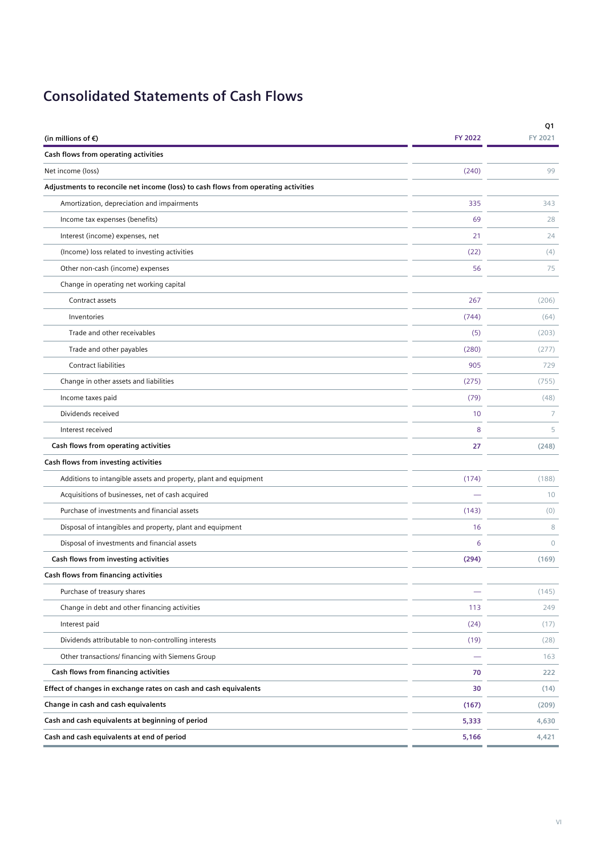# **Consolidated Statements of Cash Flows**

| (in millions of $\epsilon$ )                                                       | <b>FY 2022</b> | Q1<br>FY 2021 |
|------------------------------------------------------------------------------------|----------------|---------------|
| Cash flows from operating activities                                               |                |               |
| Net income (loss)                                                                  | (240)          | 99            |
| Adjustments to reconcile net income (loss) to cash flows from operating activities |                |               |
| Amortization, depreciation and impairments                                         | 335            | 343           |
| Income tax expenses (benefits)                                                     | 69             | 28            |
| Interest (income) expenses, net                                                    | 21             | 24            |
| (Income) loss related to investing activities                                      | (22)           | (4)           |
| Other non-cash (income) expenses                                                   | 56             | 75            |
| Change in operating net working capital                                            |                |               |
| Contract assets                                                                    | 267            | (206)         |
| Inventories                                                                        | (744)          | (64)          |
| Trade and other receivables                                                        | (5)            | (203)         |
| Trade and other payables                                                           | (280)          | (277)         |
| <b>Contract liabilities</b>                                                        | 905            | 729           |
| Change in other assets and liabilities                                             | (275)          | (755)         |
| Income taxes paid                                                                  | (79)           | (48)          |
| Dividends received                                                                 | 10             | 7             |
| Interest received                                                                  | 8              | 5             |
| Cash flows from operating activities                                               | 27             | (248)         |
| Cash flows from investing activities                                               |                |               |
| Additions to intangible assets and property, plant and equipment                   | (174)          | (188)         |
| Acquisitions of businesses, net of cash acquired                                   |                | 10            |
| Purchase of investments and financial assets                                       | (143)          | (0)           |
| Disposal of intangibles and property, plant and equipment                          | 16             | 8             |
| Disposal of investments and financial assets                                       | 6              | $\Omega$      |
| Cash flows from investing activities                                               | (294)          | (169)         |
| Cash flows from financing activities                                               |                |               |
| Purchase of treasury shares                                                        |                | (145)         |
| Change in debt and other financing activities                                      | 113            | 249           |
| Interest paid                                                                      | (24)           | (17)          |
| Dividends attributable to non-controlling interests                                | (19)           | (28)          |
| Other transactions/ financing with Siemens Group                                   |                | 163           |
| Cash flows from financing activities                                               | 70             | 222           |
| Effect of changes in exchange rates on cash and cash equivalents                   | 30             | (14)          |
| Change in cash and cash equivalents                                                | (167)          | (209)         |
| Cash and cash equivalents at beginning of period                                   | 5,333          | 4,630         |
| Cash and cash equivalents at end of period                                         | 5,166          | 4,421         |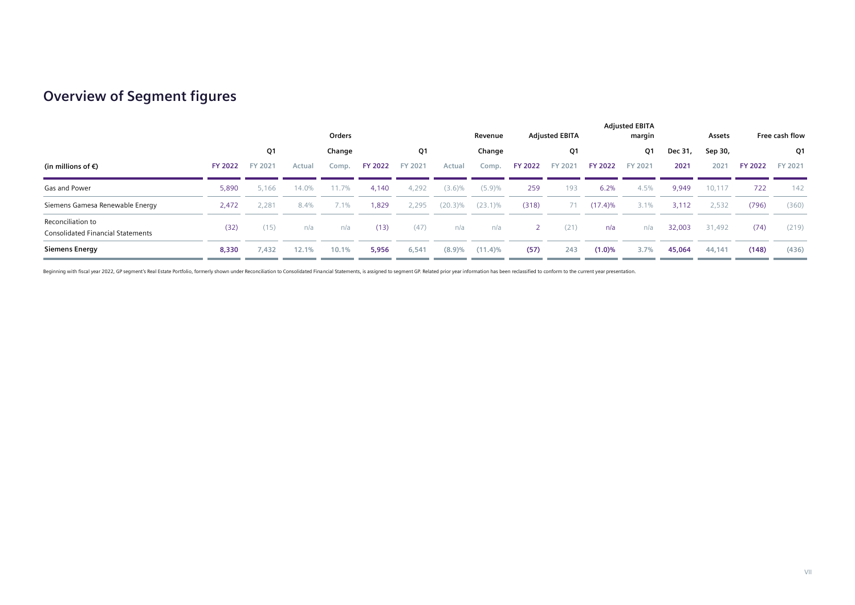## **Overview of Segment figures**

|                                                               | Orders         |         |        |         |                |         | Revenue    |            |                | <b>Adjusted EBITA</b> |                | <b>Adjusted EBITA</b><br>margin |         | Free cash flow |                |         |
|---------------------------------------------------------------|----------------|---------|--------|---------|----------------|---------|------------|------------|----------------|-----------------------|----------------|---------------------------------|---------|----------------|----------------|---------|
|                                                               |                | Q1      |        | Change  |                | Q1      |            | Change     |                | Q1                    |                | Q1                              | Dec 31, | Sep 30,        |                | Q1      |
| (in millions of $\epsilon$ )                                  | <b>FY 2022</b> | FY 2021 | Actual | Comp.   | <b>FY 2022</b> | FY 2021 | Actual     | Comp.      | <b>FY 2022</b> | FY 2021               | <b>FY 2022</b> | FY 2021                         | 2021    | 2021           | <b>FY 2022</b> | FY 2021 |
| Gas and Power                                                 | 5,890          | 5,166   | 14.0%  | 11.7%   | 4,140          | 4,292   | $(3.6)\%$  | (5.9)%     | 259            | 193                   | 6.2%           | 4.5%                            | 9,949   | 10,117         | 722            | 142     |
| Siemens Gamesa Renewable Energy                               | 2,472          | 2.281   | 8.4%   | $7.1\%$ | 1,829          | 2,295   | $(20.3)\%$ | $(23.1)\%$ | (318)          | 71                    | $(17.4)\%$     | $3.1\%$                         | 3,112   | 2,532          | (796)          | (360)   |
| Reconciliation to<br><b>Consolidated Financial Statements</b> | (32)           | (15)    | n/a    | n/a     | (13)           | (47)    | n/a        | n/a        | <sup>2</sup>   | (21)                  | n/a            | n/a                             | 32,003  | 31,492         | (74)           | (219)   |
| <b>Siemens Energy</b>                                         | 8,330          | 7,432   | 12.1%  | 10.1%   | 5,956          | 6,541   | (8.9)%     | $(11.4)\%$ | (57)           | 243                   | $(1.0)\%$      | 3.7%                            | 45,064  | 44,141         | (148)          | (436)   |

Beginning with fiscal year 2022, GP segment's Real Estate Portfolio, formerly shown under Reconciliation to Consolidated Financial Statements, is assigned to segment GP. Related prior year information has been reclassified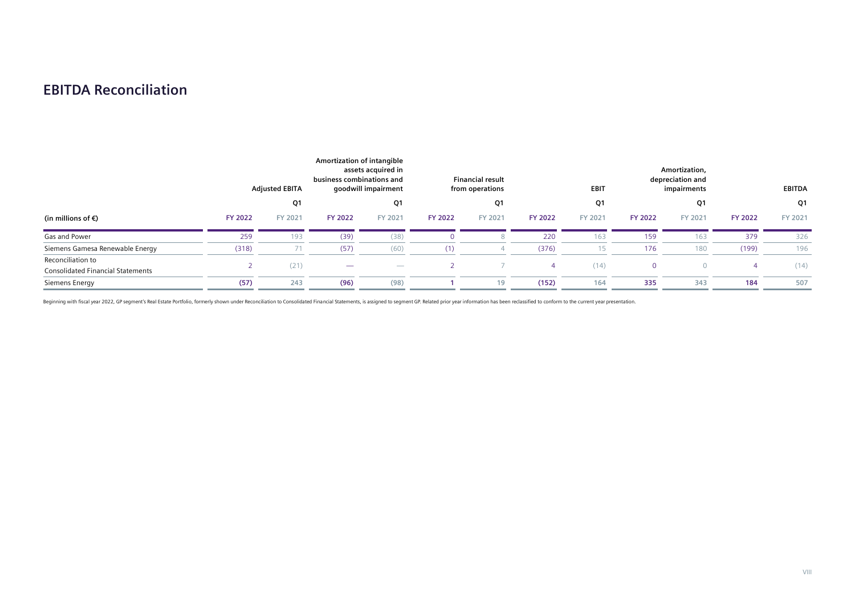## **EBITDA Reconciliation**

|                                                               |                | <b>Adjusted EBITA</b> | Amortization of intangible<br>assets acquired in<br>business combinations and<br>goodwill impairment |                  |                | <b>Financial result</b><br>from operations | <b>EBIT</b>    |         | Amortization,<br>depreciation and<br>impairments |          | EBITDA         |         |
|---------------------------------------------------------------|----------------|-----------------------|------------------------------------------------------------------------------------------------------|------------------|----------------|--------------------------------------------|----------------|---------|--------------------------------------------------|----------|----------------|---------|
|                                                               |                | Q1                    |                                                                                                      | Q1               |                | Q1                                         |                | Q1      |                                                  | Q1       |                | Q1      |
| (in millions of $\epsilon$ )                                  | <b>FY 2022</b> | FY 2021               | <b>FY 2022</b>                                                                                       | FY 2021          | <b>FY 2022</b> | FY 2021                                    | <b>FY 2022</b> | FY 2021 | <b>FY 2022</b>                                   | FY 2021  | <b>FY 2022</b> | FY 2021 |
| Gas and Power                                                 | 259            | 193                   | (39)                                                                                                 | (38)             |                |                                            | 220            | 163     | 159                                              | 163      | 379            | 326     |
| Siemens Gamesa Renewable Energy                               | (318)          |                       | (57)                                                                                                 | (60)             | (1)            |                                            | (376)          | 15      | 176                                              | 180      | (199)          | 196     |
| Reconciliation to<br><b>Consolidated Financial Statements</b> |                | (21)                  |                                                                                                      | $\hspace{0.5cm}$ |                |                                            |                | (14)    | $\mathbf{0}$                                     | $\Omega$ |                | (14)    |
| Siemens Energy                                                | (57)           | 243                   | (96)                                                                                                 | (98)             |                | 19                                         | (152)          | 164     | 335                                              | 343      | 184            | 507     |

Beginning with fiscal year 2022, GP segment's Real Estate Portfolio, formerly shown under Reconciliation to Consolidated Financial Statements, is assigned to segment GP. Related prior year information has been reclassified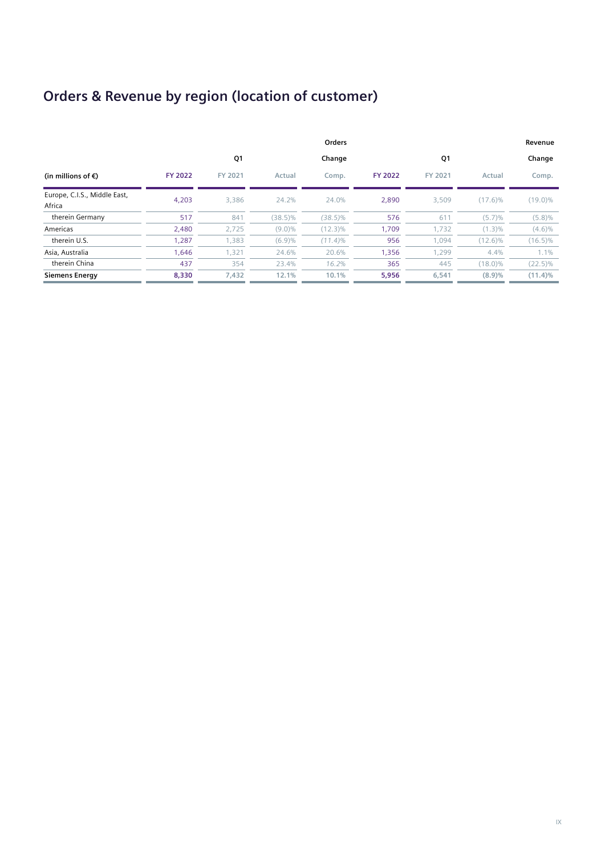# **Orders & Revenue by region (location of customer)**

|                                        |                |         |            | Orders     |                |         |            | Revenue    |
|----------------------------------------|----------------|---------|------------|------------|----------------|---------|------------|------------|
|                                        |                | Q1      |            | Change     |                | Q1      |            | Change     |
| (in millions of €)                     | <b>FY 2022</b> | FY 2021 | Actual     | Comp.      | <b>FY 2022</b> | FY 2021 | Actual     | Comp.      |
| Europe, C.I.S., Middle East,<br>Africa | 4.203          | 3,386   | 24.2%      | 24.0%      | 2,890          | 3.509   | $(17.6)\%$ | $(19.0)\%$ |
| therein Germany                        | 517            | 841     | $(38.5)\%$ | $(38.5)\%$ | 576            | 611     | (5.7)%     | $(5.8)\%$  |
| Americas                               | 2,480          | 2,725   | $(9.0)\%$  | $(12.3)\%$ | 1,709          | 1,732   | $(1.3)\%$  | $(4.6)\%$  |
| therein U.S.                           | 1,287          | 1,383   | (6.9)%     | $(11.4)\%$ | 956            | 1,094   | $(12.6)\%$ | $(16.5)\%$ |
| Asia, Australia                        | 1,646          | 1,321   | 24.6%      | 20.6%      | 1,356          | 1,299   | 4.4%       | $1.1\%$    |
| therein China                          | 437            | 354     | 23.4%      | 16.2%      | 365            | 445     | $(18.0)\%$ | $(22.5)\%$ |
| <b>Siemens Energy</b>                  | 8,330          | 7,432   | 12.1%      | 10.1%      | 5,956          | 6,541   | (8.9)%     | $(11.4)\%$ |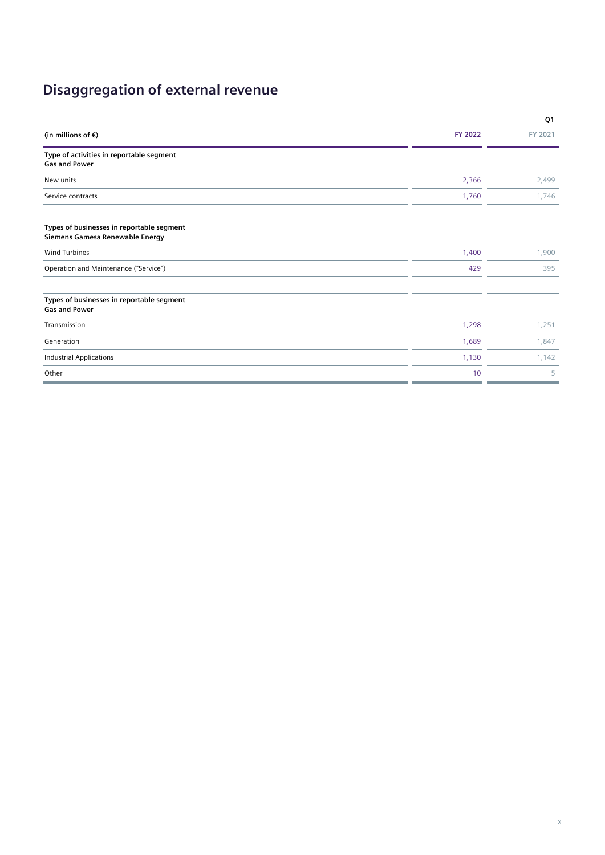# **Disaggregation of external revenue**

|                                                                              |                | Q1      |
|------------------------------------------------------------------------------|----------------|---------|
| (in millions of $\epsilon$ )                                                 | <b>FY 2022</b> | FY 2021 |
| Type of activities in reportable segment<br><b>Gas and Power</b>             |                |         |
| New units                                                                    | 2,366          | 2,499   |
| Service contracts                                                            | 1,760          | 1,746   |
| Types of businesses in reportable segment<br>Siemens Gamesa Renewable Energy |                |         |
| <b>Wind Turbines</b>                                                         | 1,400          | 1,900   |
| Operation and Maintenance ("Service")                                        | 429            | 395     |
| Types of businesses in reportable segment<br><b>Gas and Power</b>            |                |         |
| Transmission                                                                 | 1,298          | 1,251   |
| Generation                                                                   | 1,689          | 1,847   |
| <b>Industrial Applications</b>                                               | 1,130          | 1,142   |
| Other                                                                        | 10             | 5       |
|                                                                              |                |         |